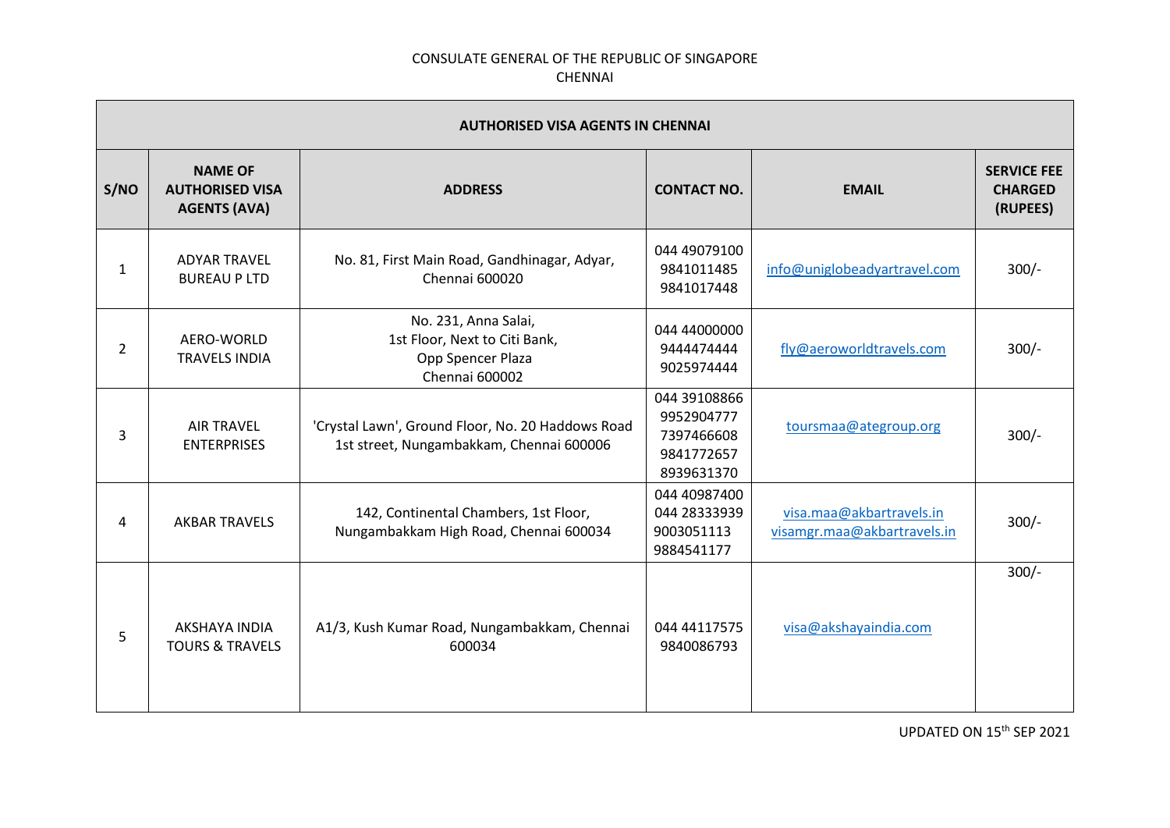|      | <b>AUTHORISED VISA AGENTS IN CHENNAI</b>                        |                                                                                               |                                                                      |                                                         |                                                  |  |
|------|-----------------------------------------------------------------|-----------------------------------------------------------------------------------------------|----------------------------------------------------------------------|---------------------------------------------------------|--------------------------------------------------|--|
| S/NO | <b>NAME OF</b><br><b>AUTHORISED VISA</b><br><b>AGENTS (AVA)</b> | <b>ADDRESS</b>                                                                                | <b>CONTACT NO.</b>                                                   | <b>EMAIL</b>                                            | <b>SERVICE FEE</b><br><b>CHARGED</b><br>(RUPEES) |  |
| 1    | <b>ADYAR TRAVEL</b><br><b>BUREAU P LTD</b>                      | No. 81, First Main Road, Gandhinagar, Adyar,<br>Chennai 600020                                | 044 49079100<br>9841011485<br>9841017448                             | info@uniglobeadyartravel.com                            | $300/-$                                          |  |
| 2    | AERO-WORLD<br><b>TRAVELS INDIA</b>                              | No. 231, Anna Salai,<br>1st Floor, Next to Citi Bank,<br>Opp Spencer Plaza<br>Chennai 600002  | 044 44000000<br>9444474444<br>9025974444                             | fly@aeroworldtravels.com                                | $300/-$                                          |  |
| 3    | <b>AIR TRAVEL</b><br><b>ENTERPRISES</b>                         | 'Crystal Lawn', Ground Floor, No. 20 Haddows Road<br>1st street, Nungambakkam, Chennai 600006 | 044 39108866<br>9952904777<br>7397466608<br>9841772657<br>8939631370 | toursmaa@ategroup.org                                   | $300/-$                                          |  |
| 4    | <b>AKBAR TRAVELS</b>                                            | 142, Continental Chambers, 1st Floor,<br>Nungambakkam High Road, Chennai 600034               | 044 40987400<br>044 28333939<br>9003051113<br>9884541177             | visa.maa@akbartravels.in<br>visamgr.maa@akbartravels.in | $300/-$                                          |  |
| 5    | AKSHAYA INDIA<br><b>TOURS &amp; TRAVELS</b>                     | A1/3, Kush Kumar Road, Nungambakkam, Chennai<br>600034                                        | 044 44117575<br>9840086793                                           | visa@akshayaindia.com                                   | $300/-$                                          |  |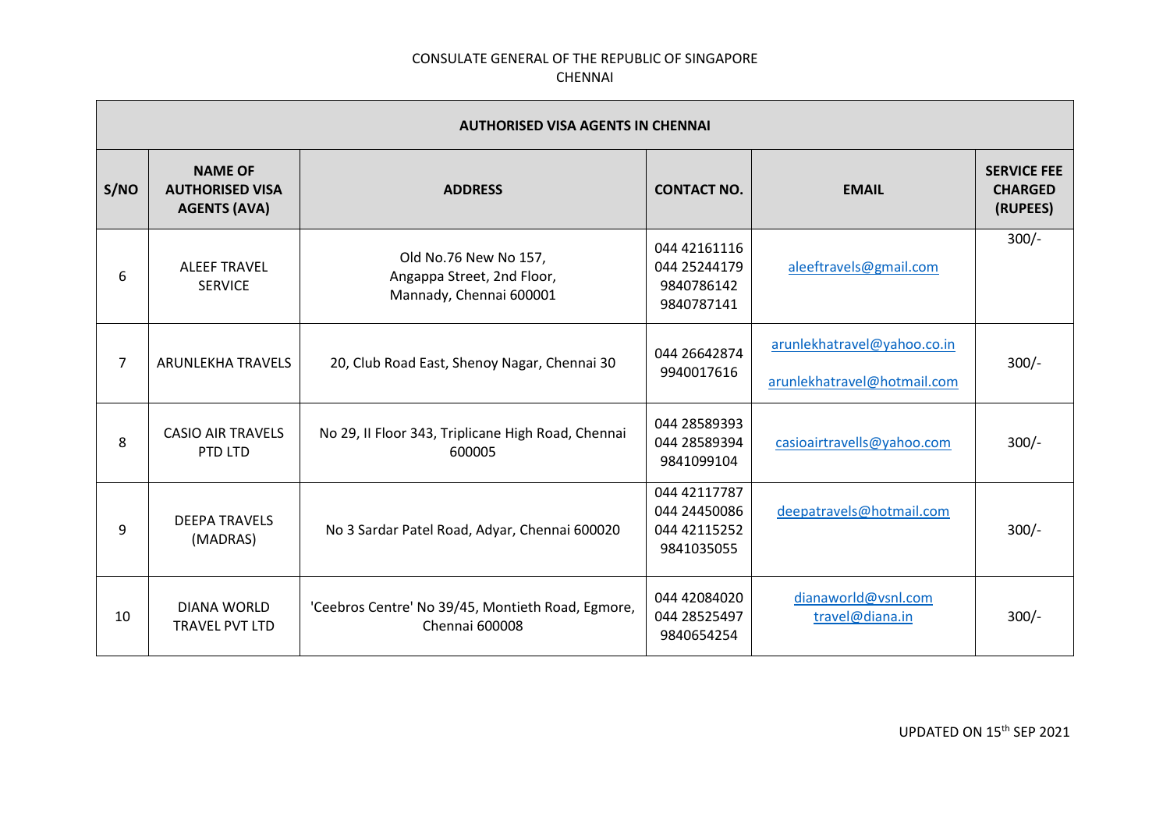|                | <b>AUTHORISED VISA AGENTS IN CHENNAI</b>                        |                                                                                |                                                            |                                                            |                                                  |  |
|----------------|-----------------------------------------------------------------|--------------------------------------------------------------------------------|------------------------------------------------------------|------------------------------------------------------------|--------------------------------------------------|--|
| S/NO           | <b>NAME OF</b><br><b>AUTHORISED VISA</b><br><b>AGENTS (AVA)</b> | <b>ADDRESS</b>                                                                 | <b>CONTACT NO.</b>                                         | <b>EMAIL</b>                                               | <b>SERVICE FEE</b><br><b>CHARGED</b><br>(RUPEES) |  |
| 6              | <b>ALEEF TRAVEL</b><br><b>SERVICE</b>                           | Old No.76 New No 157,<br>Angappa Street, 2nd Floor,<br>Mannady, Chennai 600001 | 044 42161116<br>044 25244179<br>9840786142<br>9840787141   | aleeftravels@gmail.com                                     | $300/-$                                          |  |
| $\overline{7}$ | <b>ARUNLEKHA TRAVELS</b>                                        | 20, Club Road East, Shenoy Nagar, Chennai 30                                   | 044 26642874<br>9940017616                                 | arunlekhatravel@yahoo.co.in<br>arunlekhatravel@hotmail.com | $300/-$                                          |  |
| 8              | <b>CASIO AIR TRAVELS</b><br>PTD LTD                             | No 29, II Floor 343, Triplicane High Road, Chennai<br>600005                   | 044 28589393<br>044 28589394<br>9841099104                 | casioairtravells@yahoo.com                                 | $300/-$                                          |  |
| 9              | <b>DEEPA TRAVELS</b><br>(MADRAS)                                | No 3 Sardar Patel Road, Adyar, Chennai 600020                                  | 044 42117787<br>044 24450086<br>044 42115252<br>9841035055 | deepatravels@hotmail.com                                   | $300/-$                                          |  |
| 10             | <b>DIANA WORLD</b><br>TRAVEL PVT LTD                            | 'Ceebros Centre' No 39/45, Montieth Road, Egmore,<br><b>Chennai 600008</b>     | 044 42084020<br>044 28525497<br>9840654254                 | dianaworld@vsnl.com<br>travel@diana.in                     | $300/-$                                          |  |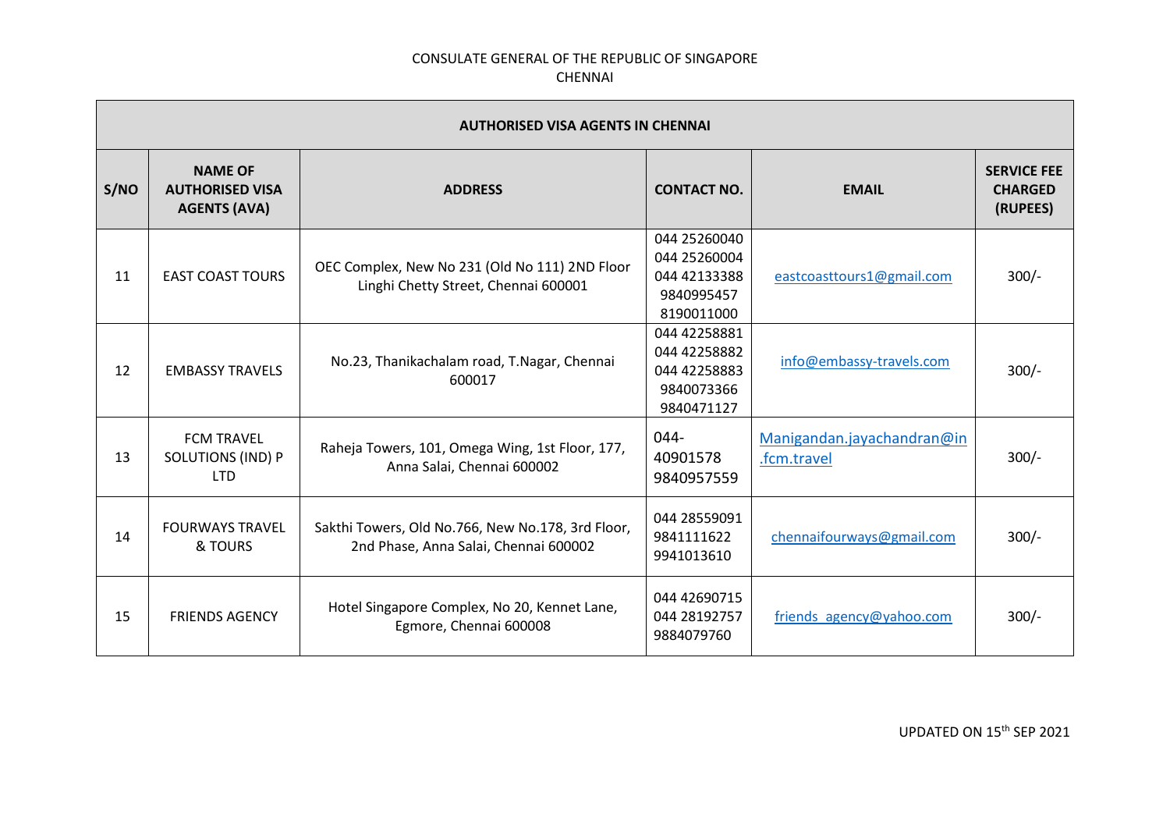|      | AUTHORISED VISA AGENTS IN CHENNAI                               |                                                                                            |                                                                          |                                           |                                                  |  |
|------|-----------------------------------------------------------------|--------------------------------------------------------------------------------------------|--------------------------------------------------------------------------|-------------------------------------------|--------------------------------------------------|--|
| S/NO | <b>NAME OF</b><br><b>AUTHORISED VISA</b><br><b>AGENTS (AVA)</b> | <b>ADDRESS</b>                                                                             | <b>CONTACT NO.</b>                                                       | <b>EMAIL</b>                              | <b>SERVICE FEE</b><br><b>CHARGED</b><br>(RUPEES) |  |
| 11   | <b>EAST COAST TOURS</b>                                         | OEC Complex, New No 231 (Old No 111) 2ND Floor<br>Linghi Chetty Street, Chennai 600001     | 044 25260040<br>044 25260004<br>044 42133388<br>9840995457<br>8190011000 | eastcoasttours1@gmail.com                 | $300/-$                                          |  |
| 12   | <b>EMBASSY TRAVELS</b>                                          | No.23, Thanikachalam road, T.Nagar, Chennai<br>600017                                      | 044 42258881<br>044 42258882<br>044 42258883<br>9840073366<br>9840471127 | info@embassy-travels.com                  | $300/-$                                          |  |
| 13   | <b>FCM TRAVEL</b><br><b>SOLUTIONS (IND) P</b><br><b>LTD</b>     | Raheja Towers, 101, Omega Wing, 1st Floor, 177,<br>Anna Salai, Chennai 600002              | $044 -$<br>40901578<br>9840957559                                        | Manigandan.jayachandran@in<br>.fcm.travel | $300/-$                                          |  |
| 14   | <b>FOURWAYS TRAVEL</b><br>& TOURS                               | Sakthi Towers, Old No.766, New No.178, 3rd Floor,<br>2nd Phase, Anna Salai, Chennai 600002 | 044 28559091<br>9841111622<br>9941013610                                 | chennaifourways@gmail.com                 | $300/-$                                          |  |
| 15   | <b>FRIENDS AGENCY</b>                                           | Hotel Singapore Complex, No 20, Kennet Lane,<br>Egmore, Chennai 600008                     | 044 42690715<br>044 28192757<br>9884079760                               | friends agency@yahoo.com                  | $300/-$                                          |  |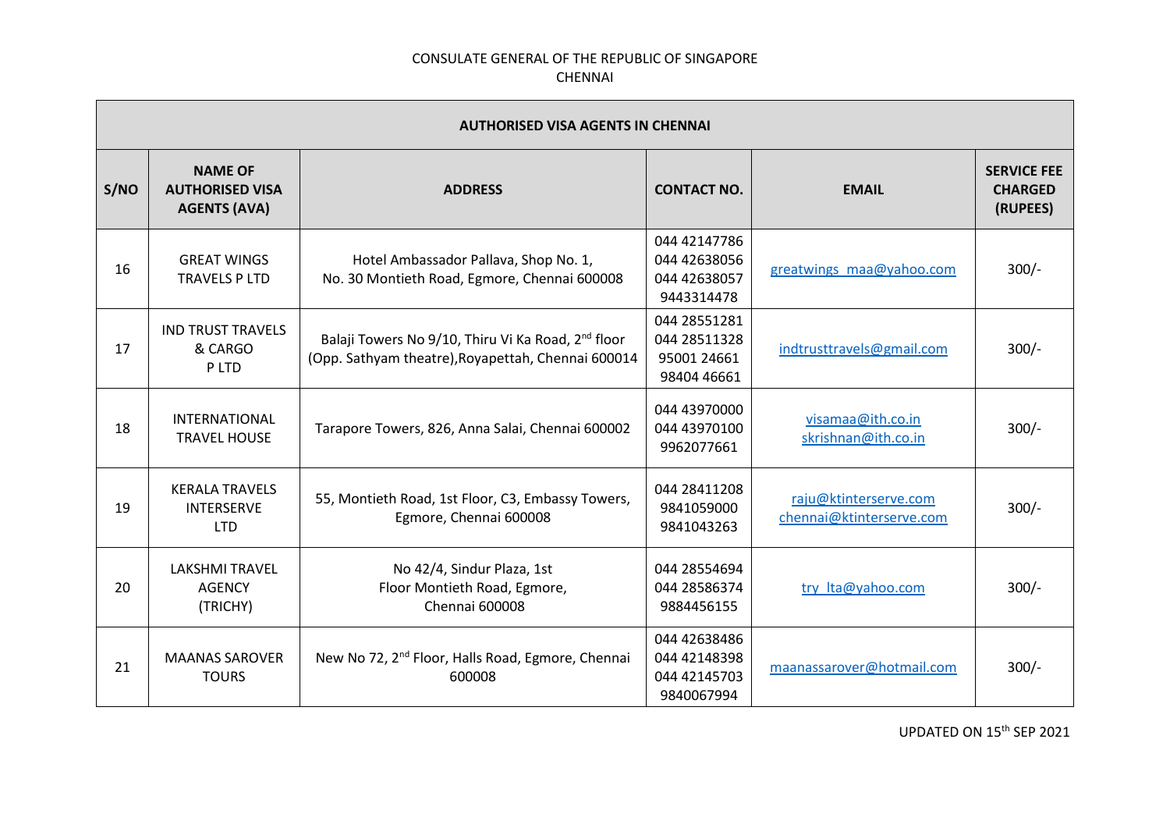|      | <b>AUTHORISED VISA AGENTS IN CHENNAI</b>                        |                                                                                                                      |                                                            |                                                   |                                                  |  |
|------|-----------------------------------------------------------------|----------------------------------------------------------------------------------------------------------------------|------------------------------------------------------------|---------------------------------------------------|--------------------------------------------------|--|
| S/NO | <b>NAME OF</b><br><b>AUTHORISED VISA</b><br><b>AGENTS (AVA)</b> | <b>ADDRESS</b>                                                                                                       | <b>CONTACT NO.</b>                                         | <b>EMAIL</b>                                      | <b>SERVICE FEE</b><br><b>CHARGED</b><br>(RUPEES) |  |
| 16   | <b>GREAT WINGS</b><br><b>TRAVELS P LTD</b>                      | Hotel Ambassador Pallava, Shop No. 1,<br>No. 30 Montieth Road, Egmore, Chennai 600008                                | 044 42147786<br>044 42638056<br>044 42638057<br>9443314478 | greatwings maa@yahoo.com                          | $300/-$                                          |  |
| 17   | <b>IND TRUST TRAVELS</b><br>& CARGO<br>P LTD                    | Balaji Towers No 9/10, Thiru Vi Ka Road, 2 <sup>nd</sup> floor<br>(Opp. Sathyam theatre), Royapettah, Chennai 600014 | 044 28551281<br>044 28511328<br>95001 24661<br>98404 46661 | indtrusttravels@gmail.com                         | $300/-$                                          |  |
| 18   | <b>INTERNATIONAL</b><br><b>TRAVEL HOUSE</b>                     | Tarapore Towers, 826, Anna Salai, Chennai 600002                                                                     | 044 43970000<br>044 43970100<br>9962077661                 | visamaa@ith.co.in<br>skrishnan@ith.co.in          | $300/-$                                          |  |
| 19   | <b>KERALA TRAVELS</b><br><b>INTERSERVE</b><br><b>LTD</b>        | 55, Montieth Road, 1st Floor, C3, Embassy Towers,<br>Egmore, Chennai 600008                                          | 044 28411208<br>9841059000<br>9841043263                   | raju@ktinterserve.com<br>chennai@ktinterserve.com | $300/-$                                          |  |
| 20   | <b>LAKSHMI TRAVEL</b><br><b>AGENCY</b><br>(TRICHY)              | No 42/4, Sindur Plaza, 1st<br>Floor Montieth Road, Egmore,<br>Chennai 600008                                         | 044 28554694<br>044 28586374<br>9884456155                 | try Ita@yahoo.com                                 | $300/-$                                          |  |
| 21   | <b>MAANAS SAROVER</b><br><b>TOURS</b>                           | New No 72, 2 <sup>nd</sup> Floor, Halls Road, Egmore, Chennai<br>600008                                              | 044 42638486<br>044 42148398<br>044 42145703<br>9840067994 | maanassarover@hotmail.com                         | $300/-$                                          |  |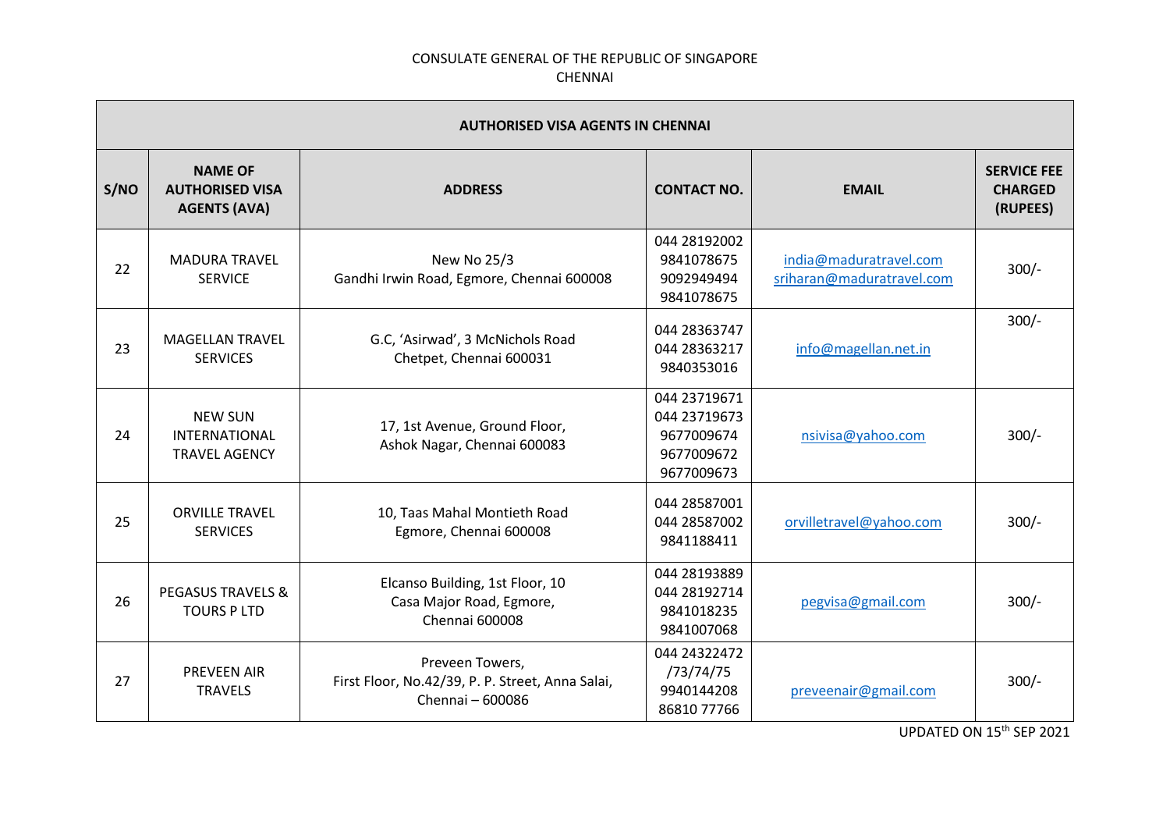|      | <b>AUTHORISED VISA AGENTS IN CHENNAI</b>                        |                                                                                         |                                                                        |                                                     |                                                  |  |
|------|-----------------------------------------------------------------|-----------------------------------------------------------------------------------------|------------------------------------------------------------------------|-----------------------------------------------------|--------------------------------------------------|--|
| S/NO | <b>NAME OF</b><br><b>AUTHORISED VISA</b><br><b>AGENTS (AVA)</b> | <b>ADDRESS</b>                                                                          | <b>CONTACT NO.</b>                                                     | <b>EMAIL</b>                                        | <b>SERVICE FEE</b><br><b>CHARGED</b><br>(RUPEES) |  |
| 22   | <b>MADURA TRAVEL</b><br><b>SERVICE</b>                          | New No 25/3<br>Gandhi Irwin Road, Egmore, Chennai 600008                                | 044 28192002<br>9841078675<br>9092949494<br>9841078675                 | india@maduratravel.com<br>sriharan@maduratravel.com | $300/-$                                          |  |
| 23   | <b>MAGELLAN TRAVEL</b><br><b>SERVICES</b>                       | G.C, 'Asirwad', 3 McNichols Road<br>Chetpet, Chennai 600031                             | 044 28363747<br>044 28363217<br>9840353016                             | info@magellan.net.in                                | $300/-$                                          |  |
| 24   | <b>NEW SUN</b><br>INTERNATIONAL<br><b>TRAVEL AGENCY</b>         | 17, 1st Avenue, Ground Floor,<br>Ashok Nagar, Chennai 600083                            | 044 23719671<br>044 23719673<br>9677009674<br>9677009672<br>9677009673 | nsivisa@yahoo.com                                   | $300/-$                                          |  |
| 25   | <b>ORVILLE TRAVEL</b><br><b>SERVICES</b>                        | 10, Taas Mahal Montieth Road<br>Egmore, Chennai 600008                                  | 044 28587001<br>044 28587002<br>9841188411                             | orvilletravel@yahoo.com                             | $300/-$                                          |  |
| 26   | <b>PEGASUS TRAVELS &amp;</b><br><b>TOURS PLTD</b>               | Elcanso Building, 1st Floor, 10<br>Casa Major Road, Egmore,<br>Chennai 600008           | 044 28193889<br>044 28192714<br>9841018235<br>9841007068               | pegvisa@gmail.com                                   | $300/-$                                          |  |
| 27   | <b>PREVEEN AIR</b><br><b>TRAVELS</b>                            | Preveen Towers,<br>First Floor, No.42/39, P. P. Street, Anna Salai,<br>Chennai - 600086 | 044 24322472<br>/73/74/75<br>9940144208<br>86810 77766                 | preveenair@gmail.com                                | $300/-$                                          |  |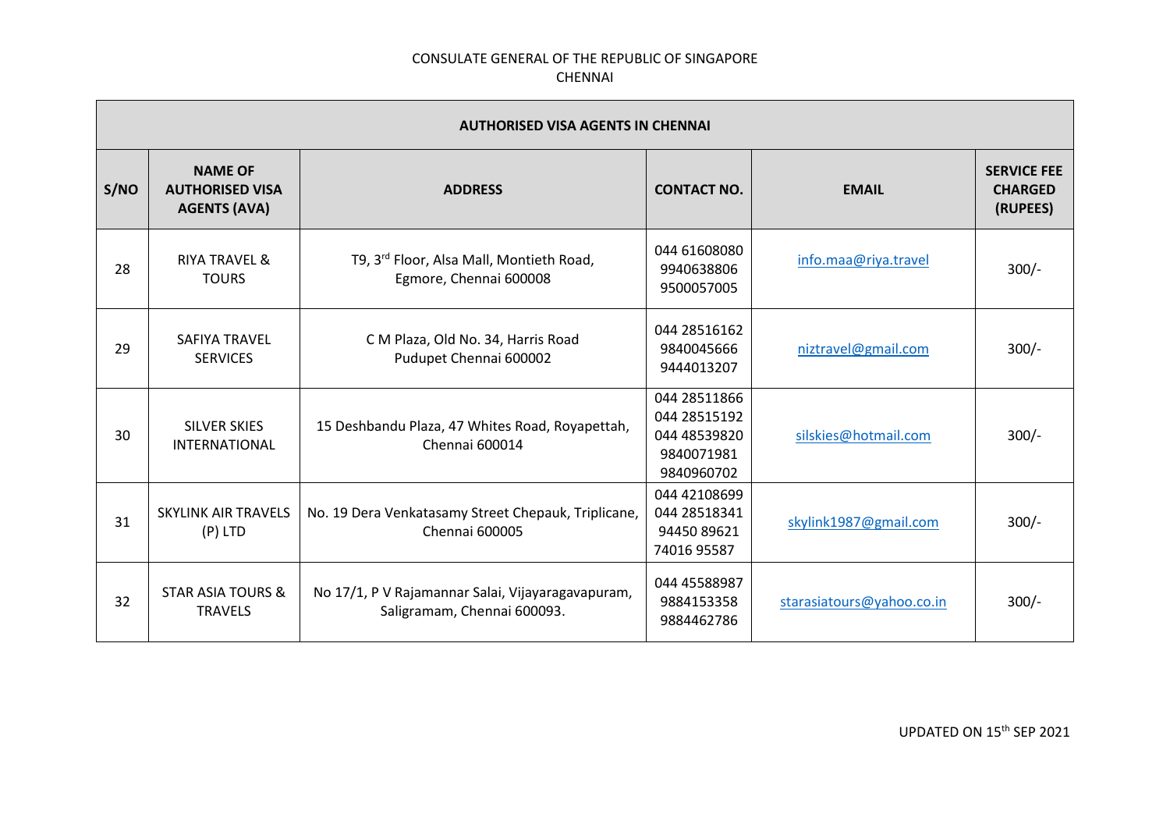|      | <b>AUTHORISED VISA AGENTS IN CHENNAI</b>                        |                                                                                  |                                                                          |                           |                                                  |  |
|------|-----------------------------------------------------------------|----------------------------------------------------------------------------------|--------------------------------------------------------------------------|---------------------------|--------------------------------------------------|--|
| S/NO | <b>NAME OF</b><br><b>AUTHORISED VISA</b><br><b>AGENTS (AVA)</b> | <b>ADDRESS</b>                                                                   | <b>CONTACT NO.</b>                                                       | <b>EMAIL</b>              | <b>SERVICE FEE</b><br><b>CHARGED</b><br>(RUPEES) |  |
| 28   | <b>RIYA TRAVEL &amp;</b><br><b>TOURS</b>                        | T9, 3rd Floor, Alsa Mall, Montieth Road,<br>Egmore, Chennai 600008               | 044 61608080<br>9940638806<br>9500057005                                 | info.maa@riya.travel      | $300/-$                                          |  |
| 29   | SAFIYA TRAVEL<br><b>SERVICES</b>                                | C M Plaza, Old No. 34, Harris Road<br>Pudupet Chennai 600002                     | 044 28516162<br>9840045666<br>9444013207                                 | niztravel@gmail.com       | $300/-$                                          |  |
| 30   | <b>SILVER SKIES</b><br><b>INTERNATIONAL</b>                     | 15 Deshbandu Plaza, 47 Whites Road, Royapettah,<br>Chennai 600014                | 044 28511866<br>044 28515192<br>044 48539820<br>9840071981<br>9840960702 | silskies@hotmail.com      | $300/-$                                          |  |
| 31   | <b>SKYLINK AIR TRAVELS</b><br>$(P)$ LTD                         | No. 19 Dera Venkatasamy Street Chepauk, Triplicane,<br>Chennai 600005            | 044 42108699<br>044 28518341<br>94450 89621<br>74016 95587               | skylink1987@gmail.com     | $300/-$                                          |  |
| 32   | <b>STAR ASIA TOURS &amp;</b><br><b>TRAVELS</b>                  | No 17/1, P V Rajamannar Salai, Vijayaragavapuram,<br>Saligramam, Chennai 600093. | 044 45588987<br>9884153358<br>9884462786                                 | starasiatours@yahoo.co.in | $300/-$                                          |  |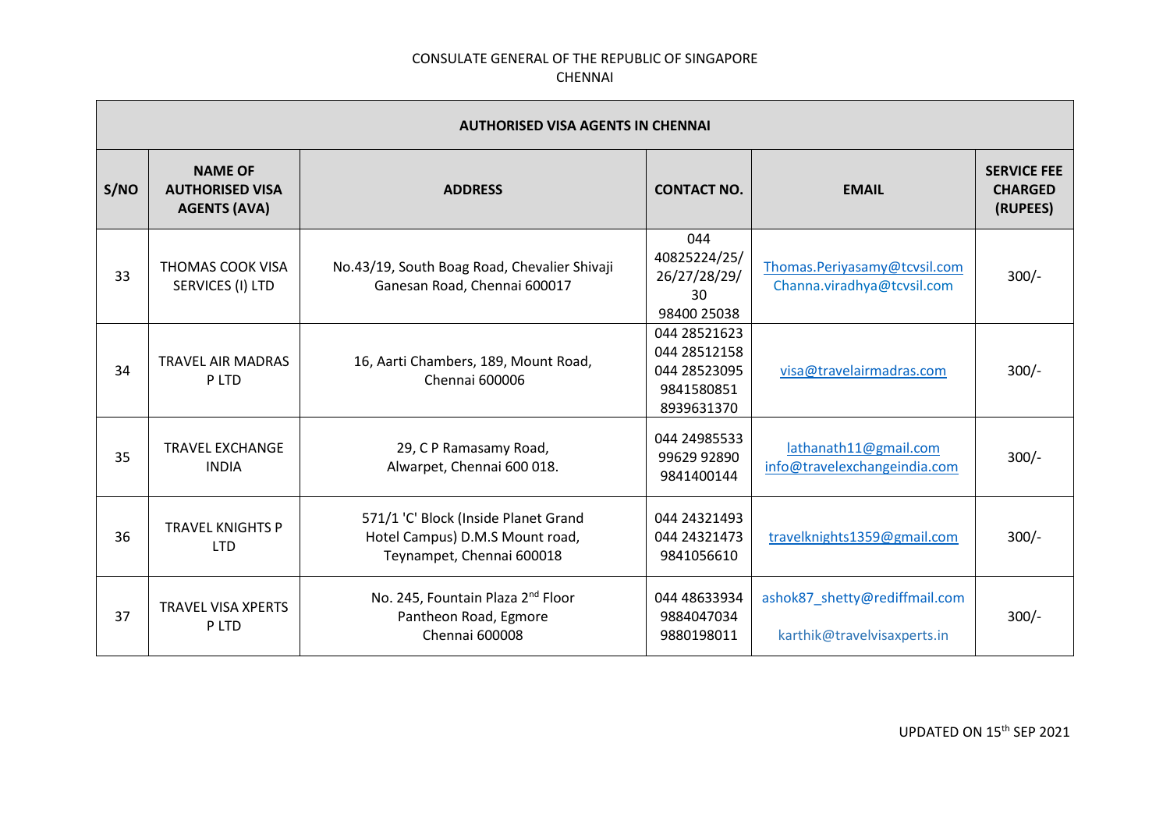|      | <b>AUTHORISED VISA AGENTS IN CHENNAI</b>                        |                                                                                                      |                                                                          |                                                              |                                                  |  |
|------|-----------------------------------------------------------------|------------------------------------------------------------------------------------------------------|--------------------------------------------------------------------------|--------------------------------------------------------------|--------------------------------------------------|--|
| S/NO | <b>NAME OF</b><br><b>AUTHORISED VISA</b><br><b>AGENTS (AVA)</b> | <b>ADDRESS</b>                                                                                       | <b>CONTACT NO.</b>                                                       | <b>EMAIL</b>                                                 | <b>SERVICE FEE</b><br><b>CHARGED</b><br>(RUPEES) |  |
| 33   | THOMAS COOK VISA<br>SERVICES (I) LTD                            | No.43/19, South Boag Road, Chevalier Shivaji<br>Ganesan Road, Chennai 600017                         | 044<br>40825224/25/<br>26/27/28/29/<br>30<br>98400 25038                 | Thomas.Periyasamy@tcvsil.com<br>Channa.viradhya@tcvsil.com   | $300/-$                                          |  |
| 34   | <b>TRAVEL AIR MADRAS</b><br>P LTD                               | 16, Aarti Chambers, 189, Mount Road,<br>Chennai 600006                                               | 044 28521623<br>044 28512158<br>044 28523095<br>9841580851<br>8939631370 | visa@travelairmadras.com                                     | $300/-$                                          |  |
| 35   | <b>TRAVEL EXCHANGE</b><br><b>INDIA</b>                          | 29, C P Ramasamy Road,<br>Alwarpet, Chennai 600 018.                                                 | 044 24985533<br>99629 92890<br>9841400144                                | lathanath11@gmail.com<br>info@travelexchangeindia.com        | $300/-$                                          |  |
| 36   | <b>TRAVEL KNIGHTS P</b><br><b>LTD</b>                           | 571/1 'C' Block (Inside Planet Grand<br>Hotel Campus) D.M.S Mount road,<br>Teynampet, Chennai 600018 | 044 24321493<br>044 24321473<br>9841056610                               | travelknights1359@gmail.com                                  | $300/-$                                          |  |
| 37   | <b>TRAVEL VISA XPERTS</b><br>P LTD                              | No. 245, Fountain Plaza 2 <sup>nd</sup> Floor<br>Pantheon Road, Egmore<br>Chennai 600008             | 044 48633934<br>9884047034<br>9880198011                                 | ashok87_shetty@rediffmail.com<br>karthik@travelvisaxperts.in | $300/-$                                          |  |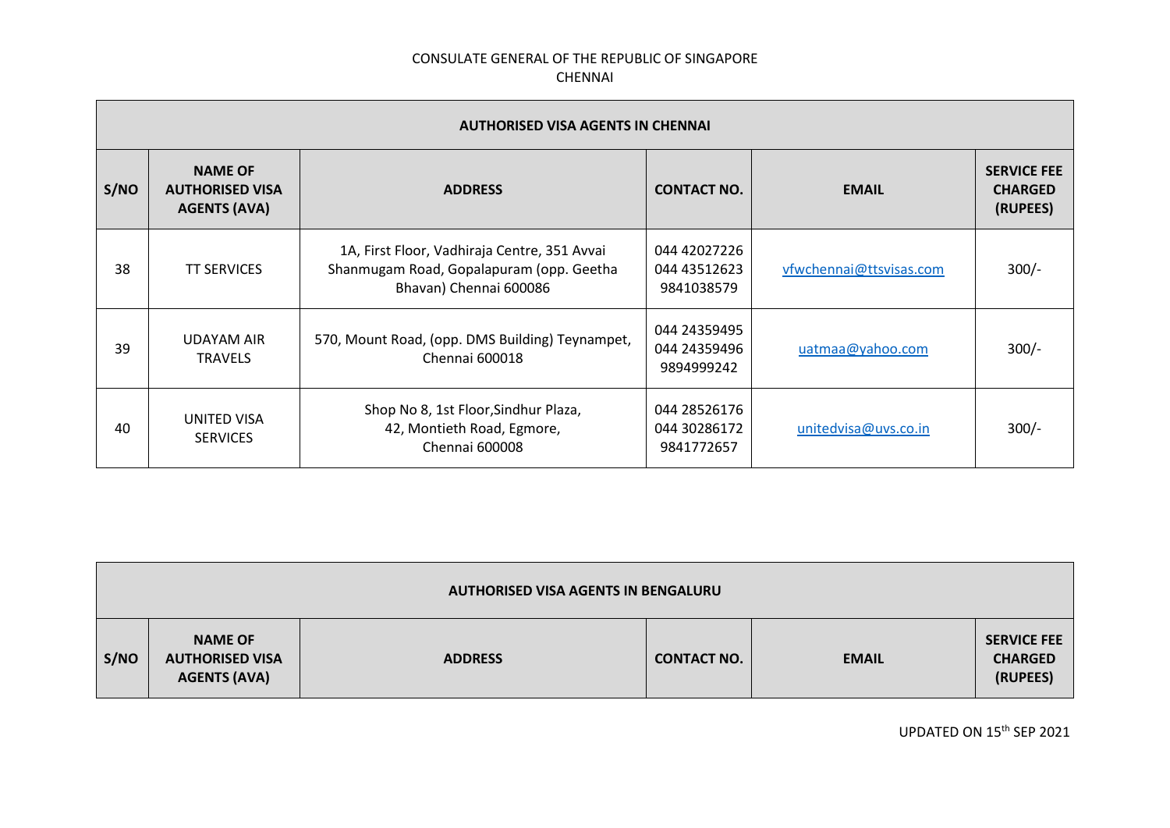|      | <b>AUTHORISED VISA AGENTS IN CHENNAI</b>                        |                                                                                                                    |                                            |                         |                                                  |  |  |
|------|-----------------------------------------------------------------|--------------------------------------------------------------------------------------------------------------------|--------------------------------------------|-------------------------|--------------------------------------------------|--|--|
| S/NO | <b>NAME OF</b><br><b>AUTHORISED VISA</b><br><b>AGENTS (AVA)</b> | <b>ADDRESS</b>                                                                                                     | <b>CONTACT NO.</b>                         | <b>EMAIL</b>            | <b>SERVICE FEE</b><br><b>CHARGED</b><br>(RUPEES) |  |  |
| 38   | <b>TT SERVICES</b>                                              | 1A, First Floor, Vadhiraja Centre, 351 Avvai<br>Shanmugam Road, Gopalapuram (opp. Geetha<br>Bhavan) Chennai 600086 | 044 42027226<br>044 43512623<br>9841038579 | vfwchennai@ttsvisas.com | $300/-$                                          |  |  |
| 39   | <b>UDAYAM AIR</b><br><b>TRAVELS</b>                             | 570, Mount Road, (opp. DMS Building) Teynampet,<br>Chennai 600018                                                  | 044 24359495<br>044 24359496<br>9894999242 | uatmaa@yahoo.com        | $300/-$                                          |  |  |
| 40   | UNITED VISA<br><b>SERVICES</b>                                  | Shop No 8, 1st Floor, Sindhur Plaza,<br>42, Montieth Road, Egmore,<br>Chennai 600008                               | 044 28526176<br>044 30286172<br>9841772657 | unitedvisa@uvs.co.in    | $300/-$                                          |  |  |

| <b>AUTHORISED VISA AGENTS IN BENGALURU</b> |                                                                 |                |                    |              |                                                  |
|--------------------------------------------|-----------------------------------------------------------------|----------------|--------------------|--------------|--------------------------------------------------|
| S/NO                                       | <b>NAME OF</b><br><b>AUTHORISED VISA</b><br><b>AGENTS (AVA)</b> | <b>ADDRESS</b> | <b>CONTACT NO.</b> | <b>EMAIL</b> | <b>SERVICE FEE</b><br><b>CHARGED</b><br>(RUPEES) |